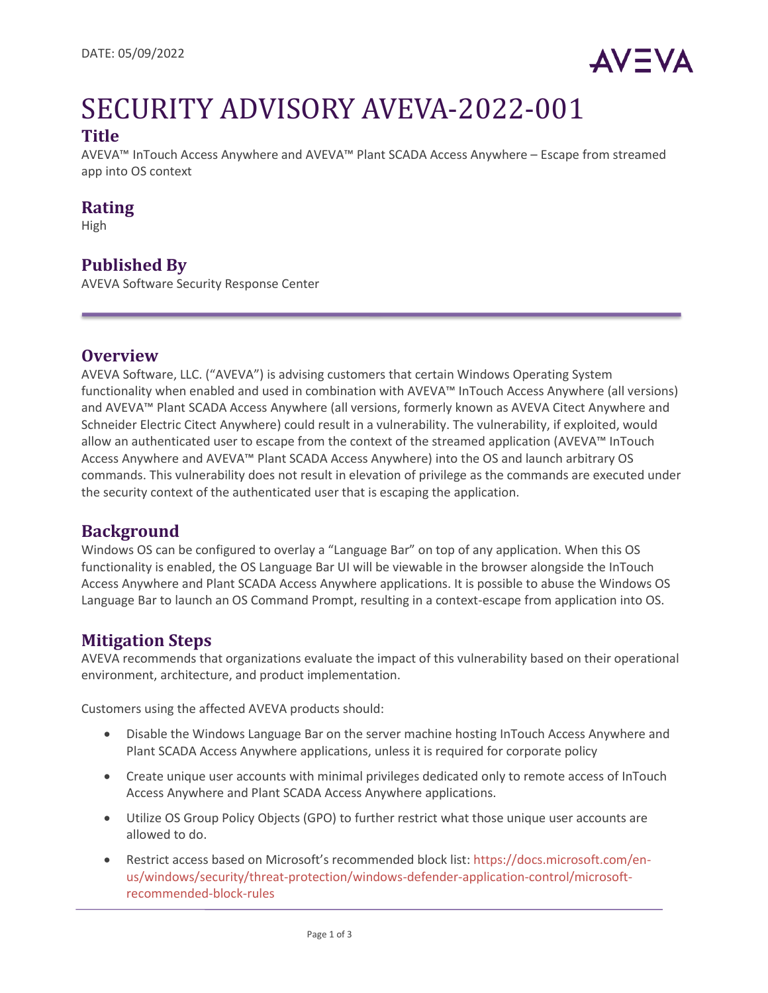

# SECURITY ADVISORY AVEVA-2022-001

# **Title**

AVEVA™ InTouch Access Anywhere and AVEVA™ Plant SCADA Access Anywhere – Escape from streamed app into OS context

# **Rating**

High

# **Published By**

AVEVA Software Security Response Center

#### **Overview**

AVEVA Software, LLC. ("AVEVA") is advising customers that certain Windows Operating System functionality when enabled and used in combination with AVEVA™ InTouch Access Anywhere (all versions) and AVEVA™ Plant SCADA Access Anywhere (all versions, formerly known as AVEVA Citect Anywhere and Schneider Electric Citect Anywhere) could result in a vulnerability. The vulnerability, if exploited, would allow an authenticated user to escape from the context of the streamed application (AVEVA™ InTouch Access Anywhere and AVEVA™ Plant SCADA Access Anywhere) into the OS and launch arbitrary OS commands. This vulnerability does not result in elevation of privilege as the commands are executed under the security context of the authenticated user that is escaping the application.

# **Background**

Windows OS can be configured to overlay a "Language Bar" on top of any application. When this OS functionality is enabled, the OS Language Bar UI will be viewable in the browser alongside the InTouch Access Anywhere and Plant SCADA Access Anywhere applications. It is possible to abuse the Windows OS Language Bar to launch an OS Command Prompt, resulting in a context-escape from application into OS.

# **Mitigation Steps**

AVEVA recommends that organizations evaluate the impact of this vulnerability based on their operational environment, architecture, and product implementation.

Customers using the affected AVEVA products should:

- Disable the Windows Language Bar on the server machine hosting InTouch Access Anywhere and Plant SCADA Access Anywhere applications, unless it is required for corporate policy
- Create unique user accounts with minimal privileges dedicated only to remote access of InTouch Access Anywhere and Plant SCADA Access Anywhere applications.
- Utilize OS Group Policy Objects (GPO) to further restrict what those unique user accounts are allowed to do.
- Restrict access based on Microsoft's recommended block list[: https://docs.microsoft.com/en](https://docs.microsoft.com/en-us/windows/security/threat-protection/windows-defender-application-control/microsoft-recommended-block-rules)[us/windows/security/threat-protection/windows-defender-application-control/microsoft](https://docs.microsoft.com/en-us/windows/security/threat-protection/windows-defender-application-control/microsoft-recommended-block-rules)[recommended-block-rules](https://docs.microsoft.com/en-us/windows/security/threat-protection/windows-defender-application-control/microsoft-recommended-block-rules)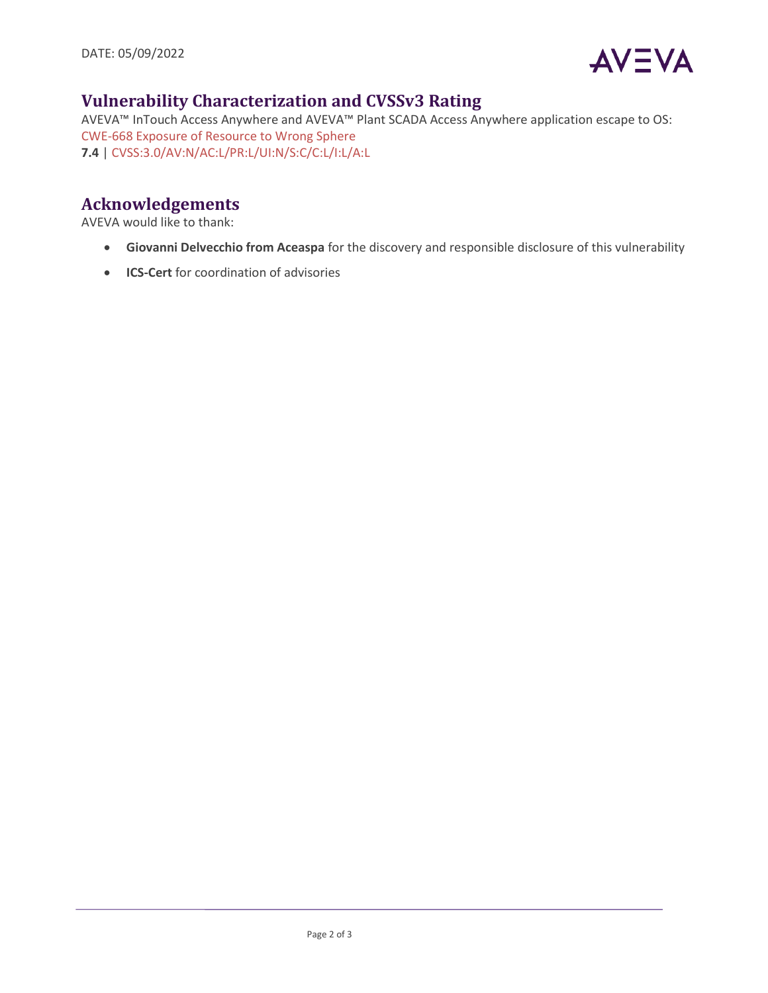

# **Vulnerability Characterization and CVSSv3 Rating**

AVEVA™ InTouch Access Anywhere and AVEVA™ Plant SCADA Access Anywhere application escape to OS: [CWE-668 Exposure of Resource to Wrong Sphere](https://cwe.mitre.org/data/definitions/668.html) **7.4** | [CVSS:3.0/AV:N/AC:L/PR:L/UI:N/S:C/C:L/I:L/A:L](https://www.first.org/cvss/calculator/3.0#CVSS:3.0/AV:N/AC:L/PR:L/UI:N/S:C/C:L/I:L/A:L)

# **Acknowledgements**

AVEVA would like to thank:

- **Giovanni Delvecchio from Aceaspa** for the discovery and responsible disclosure of this vulnerability
- **ICS-Cert** for coordination of advisories